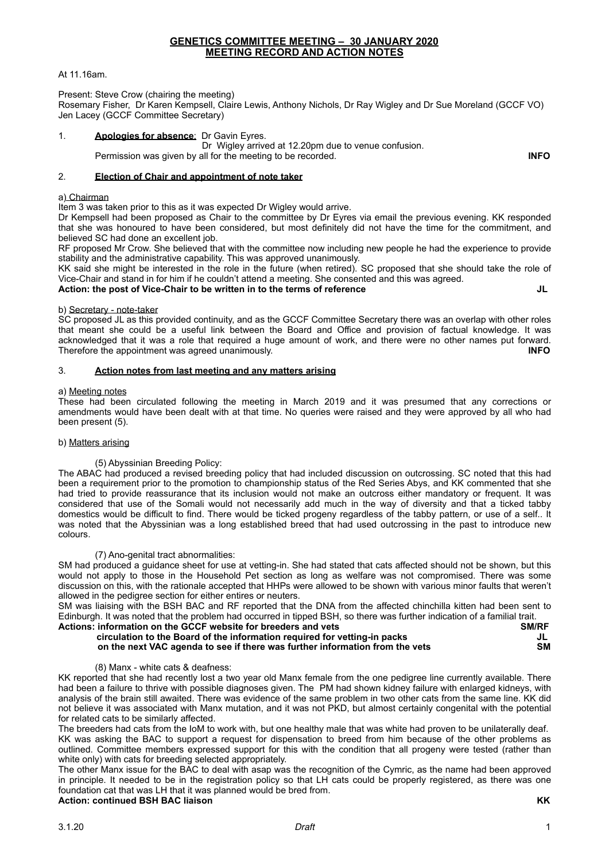### At 11.16am.

Present: Steve Crow (chairing the meeting)

Rosemary Fisher, Dr Karen Kempsell, Claire Lewis, Anthony Nichols, Dr Ray Wigley and Dr Sue Moreland (GCCF VO) Jen Lacey (GCCF Committee Secretary)

# 1. **Apologies for absence**: Dr Gavin Eyres.

 Dr Wigley arrived at 12.20pm due to venue confusion. Permission was given by all for the meeting to be recorded. **INFO** 

### 2. **Election of Chair and appointment of note taker**

### a) Chairman

Item 3 was taken prior to this as it was expected Dr Wigley would arrive.

Dr Kempsell had been proposed as Chair to the committee by Dr Eyres via email the previous evening. KK responded that she was honoured to have been considered, but most definitely did not have the time for the commitment, and believed SC had done an excellent job.

RF proposed Mr Crow. She believed that with the committee now including new people he had the experience to provide stability and the administrative capability. This was approved unanimously.

KK said she might be interested in the role in the future (when retired). SC proposed that she should take the role of Vice-Chair and stand in for him if he couldn't attend a meeting. She consented and this was agreed.

### Action: the post of Vice-Chair to be written in to the terms of reference **JUCA**

### b) Secretary - note-taker

SC proposed JL as this provided continuity, and as the GCCF Committee Secretary there was an overlap with other roles that meant she could be a useful link between the Board and Office and provision of factual knowledge. It was acknowledged that it was a role that required a huge amount of work, and there were no other names put forward. Therefore the appointment was agreed unanimously. **INFO**

## 3. **Action notes from last meeting and any matters arising**

### a) Meeting notes

These had been circulated following the meeting in March 2019 and it was presumed that any corrections or amendments would have been dealt with at that time. No queries were raised and they were approved by all who had been present (5).

## b) Matters arising

## (5) Abyssinian Breeding Policy:

The ABAC had produced a revised breeding policy that had included discussion on outcrossing. SC noted that this had been a requirement prior to the promotion to championship status of the Red Series Abys, and KK commented that she had tried to provide reassurance that its inclusion would not make an outcross either mandatory or frequent. It was considered that use of the Somali would not necessarily add much in the way of diversity and that a ticked tabby domestics would be difficult to find. There would be ticked progeny regardless of the tabby pattern, or use of a self.. It was noted that the Abyssinian was a long established breed that had used outcrossing in the past to introduce new colours.

# (7) Ano-genital tract abnormalities:

SM had produced a guidance sheet for use at vetting-in. She had stated that cats affected should not be shown, but this would not apply to those in the Household Pet section as long as welfare was not compromised. There was some discussion on this, with the rationale accepted that HHPs were allowed to be shown with various minor faults that weren't allowed in the pedigree section for either entires or neuters.

SM was liaising with the BSH BAC and RF reported that the DNA from the affected chinchilla kitten had been sent to Edinburgh. It was noted that the problem had occurred in tipped BSH, so there was further indication of a familial trait.<br>Actions: information on the GCCE website for breeders and vets Actions: information on the GCCF website for breeders and vets

|                                                                              | --------- |
|------------------------------------------------------------------------------|-----------|
| circulation to the Board of the information required for vetting-in packs    | JL        |
| on the next VAC agenda to see if there was further information from the vets | SΜ        |
|                                                                              |           |

(8) Manx - white cats & deafness:

KK reported that she had recently lost a two year old Manx female from the one pedigree line currently available. There had been a failure to thrive with possible diagnoses given. The PM had shown kidney failure with enlarged kidneys, with analysis of the brain still awaited. There was evidence of the same problem in two other cats from the same line. KK did not believe it was associated with Manx mutation, and it was not PKD, but almost certainly congenital with the potential for related cats to be similarly affected.

The breeders had cats from the IoM to work with, but one healthy male that was white had proven to be unilaterally deaf. KK was asking the BAC to support a request for dispensation to breed from him because of the other problems as outlined. Committee members expressed support for this with the condition that all progeny were tested (rather than white only) with cats for breeding selected appropriately.

The other Manx issue for the BAC to deal with asap was the recognition of the Cymric, as the name had been approved in principle. It needed to be in the registration policy so that LH cats could be properly registered, as there was one foundation cat that was LH that it was planned would be bred from. **Action: continued BSH BAC liaison KK**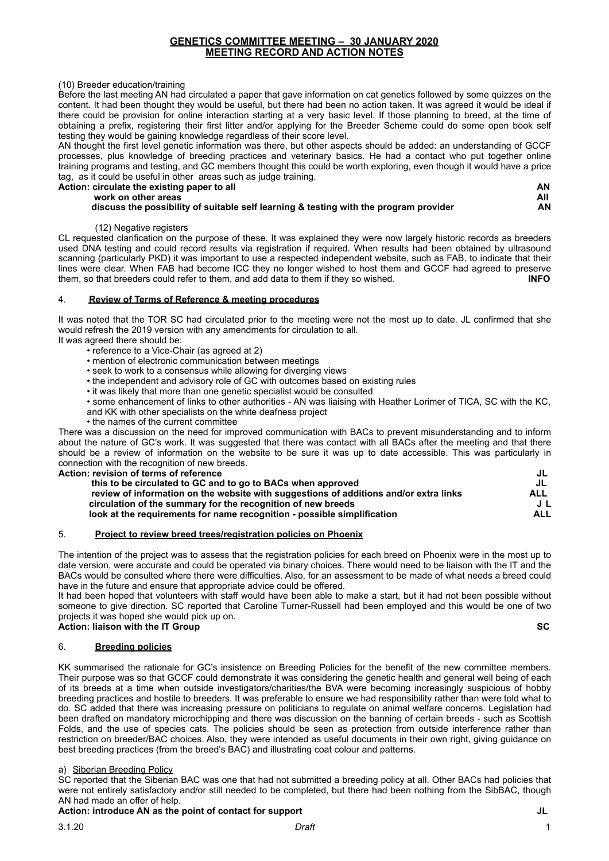### (10) Breeder education/training

Before the last meeting AN had circulated a paper that gave information on cat genetics followed by some quizzes on the content. It had been thought they would be useful, but there had been no action taken. It was agreed it would be ideal if there could be provision for online interaction starting at a very basic level. If those planning to breed, at the time of obtaining a prefix, registering their first litter and/or applying for the Breeder Scheme could do some open book self testing they would be gaining knowledge regardless of their score level.

AN thought the first level genetic information was there, but other aspects should be added: an understanding of GCCF processes, plus knowledge of breeding practices and veterinary basics. He had a contact who put together online training programs and testing, and GC members thought this could be worth exploring, even though it would have a price tag, as it could be useful in other areas such as judge training.<br>Action: circulate the existing paper to all

| Action: circulate the existing paper to all                                           | AN  |
|---------------------------------------------------------------------------------------|-----|
| work on other areas                                                                   | All |
| discuss the possibility of suitable self learning & testing with the program provider | AN  |

### (12) Negative registers

CL requested clarification on the purpose of these. It was explained they were now largely historic records as breeders used DNA testing and could record results via registration if required. When results had been obtained by ultrasound scanning (particularly PKD) it was important to use a respected independent website, such as FAB, to indicate that their lines were clear. When FAB had become ICC they no longer wished to host them and GCCF had agreed to preserve them so that hreeders could refer to them and add data to them if they so wished them, so that breeders could refer to them, and add data to them if they so wished.

## 4. **Review of Terms of Reference & meeting procedures**

It was noted that the TOR SC had circulated prior to the meeting were not the most up to date. JL confirmed that she would refresh the 2019 version with any amendments for circulation to all. It was agreed there should be:

- reference to a Vice-Chair (as agreed at 2)
- mention of electronic communication between meetings
- seek to work to a consensus while allowing for diverging views
- the independent and advisory role of GC with outcomes based on existing rules
- it was likely that more than one genetic specialist would be consulted
- some enhancement of links to other authorities AN was liaising with Heather Lorimer of TICA, SC with the KC, and KK with other specialists on the white deafness project
- the names of the current committee

There was a discussion on the need for improved communication with BACs to prevent misunderstanding and to inform about the nature of GC's work. It was suggested that there was contact with all BACs after the meeting and that there should be a review of information on the website to be sure it was up to date accessible. This was particularly in connection with the recognition of new breeds.

| Action: revision of terms of reference                                                | JL         |
|---------------------------------------------------------------------------------------|------------|
| this to be circulated to GC and to go to BACs when approved                           | JL         |
| review of information on the website with suggestions of additions and/or extra links | ALL        |
| circulation of the summary for the recognition of new breeds                          | JL         |
| look at the requirements for name recognition - possible simplification               | <b>ALL</b> |
|                                                                                       |            |

### 5. **Project to review breed trees/registration policies on Phoenix**

The intention of the project was to assess that the registration policies for each breed on Phoenix were in the most up to date version, were accurate and could be operated via binary choices. There would need to be liaison with the IT and the BACs would be consulted where there were difficulties. Also, for an assessment to be made of what needs a breed could have in the future and ensure that appropriate advice could be offered.

It had been hoped that volunteers with staff would have been able to make a start, but it had not been possible without someone to give direction. SC reported that Caroline Turner-Russell had been employed and this would be one of two projects it was hoped she would pick up on.

# **Action: liaison with the IT Group SC SC**

# 6. **Breeding policies**

KK summarised the rationale for GC's insistence on Breeding Policies for the benefit of the new committee members. Their purpose was so that GCCF could demonstrate it was considering the genetic health and general well being of each of its breeds at a time when outside investigators/charities/the BVA were becoming increasingly suspicious of hobby breeding practices and hostile to breeders. It was preferable to ensure we had responsibility rather than were told what to do. SC added that there was increasing pressure on politicians to regulate on animal welfare concerns. Legislation had been drafted on mandatory microchipping and there was discussion on the banning of certain breeds - such as Scottish Folds, and the use of species cats. The policies should be seen as protection from outside interference rather than restriction on breeder/BAC choices. Also, they were intended as useful documents in their own right, giving guidance on best breeding practices (from the breed's BAC) and illustrating coat colour and patterns.

## a) Siberian Breeding Policy

SC reported that the Siberian BAC was one that had not submitted a breeding policy at all. Other BACs had policies that were not entirely satisfactory and/or still needed to be completed, but there had been nothing from the SibBAC, though AN had made an offer of help.

# Action: introduce AN as the point of contact for support **Action:** introduce AN as the point of contact for support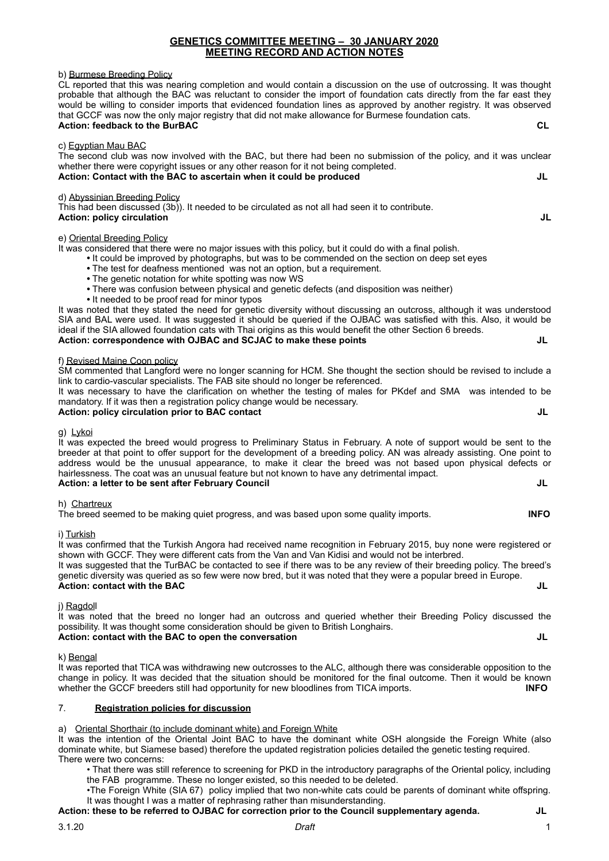### b) Burmese Breeding Policy

CL reported that this was nearing completion and would contain a discussion on the use of outcrossing. It was thought probable that although the BAC was reluctant to consider the import of foundation cats directly from the far east they would be willing to consider imports that evidenced foundation lines as approved by another registry. It was observed that GCCF was now the only major registry that did not make allowance for Burmese foundation cats. **Action: feedback to the BurBAC CL CL CL CL** 

### c) Egyptian Mau BAC

The second club was now involved with the BAC, but there had been no submission of the policy, and it was unclear whether there were copyright issues or any other reason for it not being completed. Action: Contact with the BAC to ascertain when it could be produced **Action:** Contact with the BAC to ascertain when it could be produced

### d) Abyssinian Breeding Policy

This had been discussed (3b)). It needed to be circulated as not all had seen it to contribute. **Action: policy circulation**  $J$ **L** 

### e) Oriental Breeding Policy

It was considered that there were no major issues with this policy, but it could do with a final polish.

- **•** It could be improved by photographs, but was to be commended on the section on deep set eyes
- **•** The test for deafness mentioned was not an option, but a requirement.
- **•** The genetic notation for white spotting was now WS
- **•** There was confusion between physical and genetic defects (and disposition was neither)
- It needed to be proof read for minor typos

It was noted that they stated the need for genetic diversity without discussing an outcross, although it was understood SIA and BAL were used. It was suggested it should be queried if the OJBAC was satisfied with this. Also, it would be ideal if the SIA allowed foundation cats with Thai origins as this would benefit the other Section 6 breeds. **Action: correspondence with OJBAC and SCJAC to make these points JL** 

### f) Revised Maine Coon policy

SM commented that Langford were no longer scanning for HCM. She thought the section should be revised to include a link to cardio-vascular specialists. The FAB site should no longer be referenced.

It was necessary to have the clarification on whether the testing of males for PKdef and SMA was intended to be mandatory. If it was then a registration policy change would be necessary.

# Action: policy circulation prior to BAC contact **Action: Action: policy circulation prior to BAC contact**

g) Lykoi

It was expected the breed would progress to Preliminary Status in February. A note of support would be sent to the breeder at that point to offer support for the development of a breeding policy. AN was already assisting. One point to address would be the unusual appearance, to make it clear the breed was not based upon physical defects or hairlessness. The coat was an unusual feature but not known to have any detrimental impact. **Action: a letter to be sent after February Council JL** 

h) Chartreux

The breed seemed to be making quiet progress, and was based upon some quality imports. **INFO**

### i) Turkish

It was confirmed that the Turkish Angora had received name recognition in February 2015, buy none were registered or shown with GCCF. They were different cats from the Van and Van Kidisi and would not be interbred.

It was suggested that the TurBAC be contacted to see if there was to be any review of their breeding policy. The breed's genetic diversity was queried as so few were now bred, but it was noted that they were a popular breed in Europe. **Action: contact with the BAC JL** 

## j) Ragdoll

It was noted that the breed no longer had an outcross and queried whether their Breeding Policy discussed the possibility. It was thought some consideration should be given to British Longhairs. **Action: contact with the BAC to open the conversation JL** 

k) Bengal

It was reported that TICA was withdrawing new outcrosses to the ALC, although there was considerable opposition to the change in policy. It was decided that the situation should be monitored for the final outcome. Then it would be known whether the GCCF breeders still had opportunity for new bloodlines from TICA imports. **INFO** 

### 7. **Registration policies for discussion**

### a) Oriental Shorthair (to include dominant white) and Foreign White

It was the intention of the Oriental Joint BAC to have the dominant white OSH alongside the Foreign White (also dominate white, but Siamese based) therefore the updated registration policies detailed the genetic testing required. There were two concerns:

• That there was still reference to screening for PKD in the introductory paragraphs of the Oriental policy, including the FAB programme. These no longer existed, so this needed to be deleted.

•The Foreign White (SIA 67) policy implied that two non-white cats could be parents of dominant white offspring. It was thought I was a matter of rephrasing rather than misunderstanding.

# **Action: these to be referred to OJBAC for correction prior to the Council supplementary agenda. JL**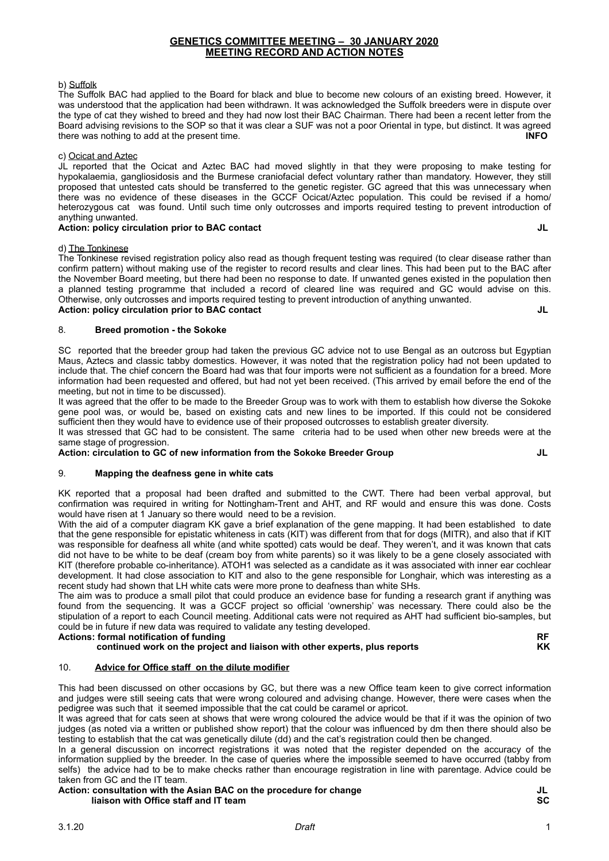### b) Suffolk

The Suffolk BAC had applied to the Board for black and blue to become new colours of an existing breed. However, it was understood that the application had been withdrawn. It was acknowledged the Suffolk breeders were in dispute over the type of cat they wished to breed and they had now lost their BAC Chairman. There had been a recent letter from the Board advising revisions to the SOP so that it was clear a SUF was not a poor Oriental in type, but distinct. It was agreed<br>INFO there was nothing to add at the present time.

### c) Ocicat and Aztec

JL reported that the Ocicat and Aztec BAC had moved slightly in that they were proposing to make testing for hypokalaemia, gangliosidosis and the Burmese craniofacial defect voluntary rather than mandatory. However, they still proposed that untested cats should be transferred to the genetic register. GC agreed that this was unnecessary when there was no evidence of these diseases in the GCCF Ocicat/Aztec population. This could be revised if a homo/ heterozygous cat was found. Until such time only outcrosses and imports required testing to prevent introduction of anything unwanted.

### Action: policy circulation prior to BAC contact **JU Action:** *JU* **JU** *JU*

### d) The Tonkinese

The Tonkinese revised registration policy also read as though frequent testing was required (to clear disease rather than confirm pattern) without making use of the register to record results and clear lines. This had been put to the BAC after the November Board meeting, but there had been no response to date. If unwanted genes existed in the population then a planned testing programme that included a record of cleared line was required and GC would advise on this. Otherwise, only outcrosses and imports required testing to prevent introduction of anything unwanted. **Action: policy circulation prior to BAC contact JL CONTACT ACTION: Action: DESIGN CONTACT ACTION: A LIGAC CONTACT ACTION: A LIGAC CONTACT ACTION: A LIGAC CONTACT ACTION: A LIGAC CONTACT ACTION: A LIGAC CONTACT ACTION: A L** 

### 8. **Breed promotion - the Sokoke**

SC reported that the breeder group had taken the previous GC advice not to use Bengal as an outcross but Egyptian Maus, Aztecs and classic tabby domestics. However, it was noted that the registration policy had not been updated to include that. The chief concern the Board had was that four imports were not sufficient as a foundation for a breed. More information had been requested and offered, but had not yet been received. (This arrived by email before the end of the meeting, but not in time to be discussed).

It was agreed that the offer to be made to the Breeder Group was to work with them to establish how diverse the Sokoke gene pool was, or would be, based on existing cats and new lines to be imported. If this could not be considered sufficient then they would have to evidence use of their proposed outcrosses to establish greater diversity.

It was stressed that GC had to be consistent. The same criteria had to be used when other new breeds were at the same stage of progression.

### **Action: circulation to GC of new information from the Sokoke Breeder Group JL**

## 9. **Mapping the deafness gene in white cats**

KK reported that a proposal had been drafted and submitted to the CWT. There had been verbal approval, but confirmation was required in writing for Nottingham-Trent and AHT, and RF would and ensure this was done. Costs would have risen at 1 January so there would need to be a revision.

With the aid of a computer diagram KK gave a brief explanation of the gene mapping. It had been established to date that the gene responsible for epistatic whiteness in cats (KIT) was different from that for dogs (MITR), and also that if KIT was responsible for deafness all white (and white spotted) cats would be deaf. They weren't, and it was known that cats did not have to be white to be deaf (cream boy from white parents) so it was likely to be a gene closely associated with KIT (therefore probable co-inheritance). ATOH1 was selected as a candidate as it was associated with inner ear cochlear development. It had close association to KIT and also to the gene responsible for Longhair, which was interesting as a recent study had shown that LH white cats were more prone to deafness than white SHs.

The aim was to produce a small pilot that could produce an evidence base for funding a research grant if anything was found from the sequencing. It was a GCCF project so official 'ownership' was necessary. There could also be the stipulation of a report to each Council meeting. Additional cats were not required as AHT had sufficient bio-samples, but could be in future if new data was required to validate any testing developed.

### Actions: formal notification of funding<br>continued work on the project and liaison with other experts, plus reports continued work on the project and liaison with other experts, plus reports

# 10. **Advice for Office staff on the dilute modifier**

This had been discussed on other occasions by GC, but there was a new Office team keen to give correct information and judges were still seeing cats that were wrong coloured and advising change. However, there were cases when the pedigree was such that it seemed impossible that the cat could be caramel or apricot.

It was agreed that for cats seen at shows that were wrong coloured the advice would be that if it was the opinion of two judges (as noted via a written or published show report) that the colour was influenced by dm then there should also be testing to establish that the cat was genetically dilute (dd) and the cat's registration could then be changed.

In a general discussion on incorrect registrations it was noted that the register depended on the accuracy of the information supplied by the breeder. In the case of queries where the impossible seemed to have occurred (tabby from selfs) the advice had to be to make checks rather than encourage registration in line with parentage. Advice could be taken from GC and the IT team.

### Action: consultation with the Asian BAC on the procedure for change<br> **Action: consultation with the Asian BAC on the procedure for change**<br> **SC liaison with Office staff and IT team**